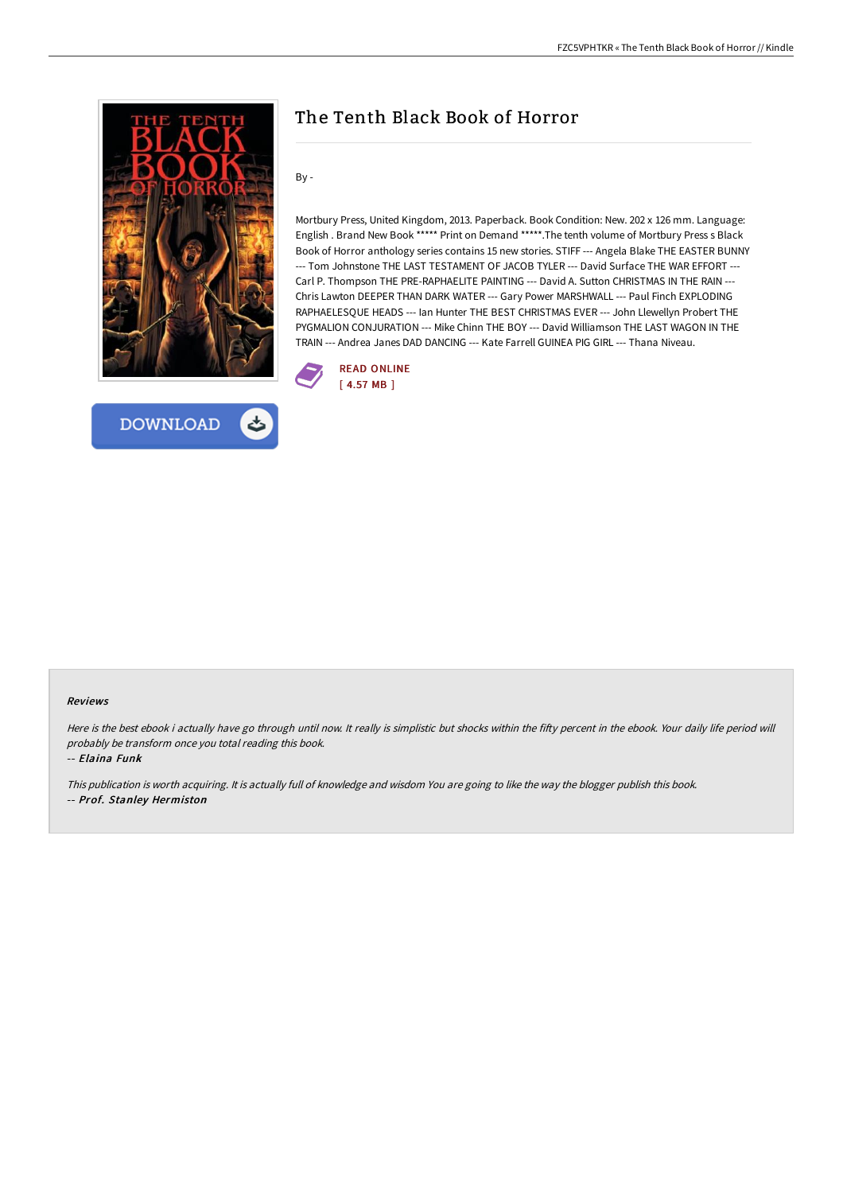



## The Tenth Black Book of Horror

By -

Mortbury Press, United Kingdom, 2013. Paperback. Book Condition: New. 202 x 126 mm. Language: English . Brand New Book \*\*\*\*\* Print on Demand \*\*\*\*\*.The tenth volume of Mortbury Press s Black Book of Horror anthology series contains 15 new stories. STIFF --- Angela Blake THE EASTER BUNNY --- Tom Johnstone THE LAST TESTAMENT OF JACOB TYLER --- David Surface THE WAR EFFORT --- Carl P. Thompson THE PRE-RAPHAELITE PAINTING --- David A. Sutton CHRISTMAS IN THE RAIN --- Chris Lawton DEEPER THAN DARK WATER --- Gary Power MARSHWALL --- Paul Finch EXPLODING RAPHAELESQUE HEADS --- Ian Hunter THE BEST CHRISTMAS EVER --- John Llewellyn Probert THE PYGMALION CONJURATION --- Mike Chinn THE BOY --- David Williamson THE LAST WAGON IN THE TRAIN --- Andrea Janes DAD DANCING --- Kate Farrell GUINEA PIG GIRL --- Thana Niveau.



## Reviews

Here is the best ebook i actually have go through until now. It really is simplistic but shocks within the fifty percent in the ebook. Your daily life period will probably be transform once you total reading this book.

-- Elaina Funk

This publication is worth acquiring. It is actually full of knowledge and wisdom You are going to like the way the blogger publish this book. -- Prof. Stanley Hermiston